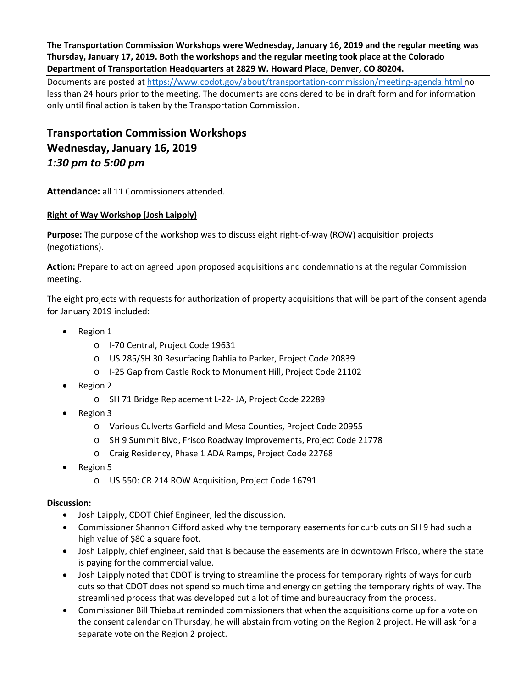**The Transportation Commission Workshops were Wednesday, January 16, 2019 and the regular meeting was Thursday, January 17, 2019. Both the workshops and the regular meeting took place at the Colorado Department of Transportation Headquarters at 2829 W. Howard Place, Denver, CO 80204.**

Documents are posted at<https://www.codot.gov/about/transportation-commission/meeting-agenda.html> no less than 24 hours prior to the meeting. The documents are considered to be in draft form and for information only until final action is taken by the Transportation Commission.

**Transportation Commission Workshops Wednesday, January 16, 2019** *1:30 pm to 5:00 pm*

**Attendance:** all 11 Commissioners attended.

# **[Right of Way Workshop \(Josh Laipply\)](https://www.codot.gov/about/transportation-commission/documents/2018-agendas-and-supporting-documents/december-2018/tc-row-2018-12-final.pdf)**

**Purpose:** The purpose of the workshop was to discuss eight right-of-way (ROW) acquisition projects (negotiations).

**Action:** Prepare to act on agreed upon proposed acquisitions and condemnations at the regular Commission meeting.

The eight projects with requests for authorization of property acquisitions that will be part of the consent agenda for January 2019 included:

- Region 1
	- o I-70 Central, Project Code 19631
	- o US 285/SH 30 Resurfacing Dahlia to Parker, Project Code 20839
	- o I-25 Gap from Castle Rock to Monument Hill, Project Code 21102
- Region 2
	- o SH 71 Bridge Replacement L-22- JA, Project Code 22289
- Region 3
	- o Various Culverts Garfield and Mesa Counties, Project Code 20955
	- o SH 9 Summit Blvd, Frisco Roadway Improvements, Project Code 21778
	- o Craig Residency, Phase 1 ADA Ramps, Project Code 22768
- Region 5
	- o US 550: CR 214 ROW Acquisition, Project Code 16791

- Josh Laipply, CDOT Chief Engineer, led the discussion.
- Commissioner Shannon Gifford asked why the temporary easements for curb cuts on SH 9 had such a high value of \$80 a square foot.
- Josh Laipply, chief engineer, said that is because the easements are in downtown Frisco, where the state is paying for the commercial value.
- Josh Laipply noted that CDOT is trying to streamline the process for temporary rights of ways for curb cuts so that CDOT does not spend so much time and energy on getting the temporary rights of way. The streamlined process that was developed cut a lot of time and bureaucracy from the process.
- Commissioner Bill Thiebaut reminded commissioners that when the acquisitions come up for a vote on the consent calendar on Thursday, he will abstain from voting on the Region 2 project. He will ask for a separate vote on the Region 2 project.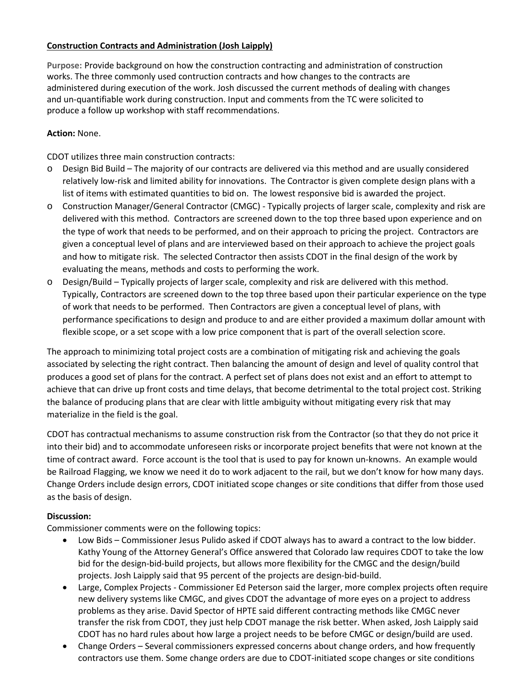# **[Construction](https://www.codot.gov/about/transportation-commission/documents/2018-agendas-and-supporting-documents/december-2018/1-rest-areas.pdf) Contracts and Administration (Josh Laipply)**

**Purpose:** Provide background on how the construction contracting and administration of construction works. The three commonly used contruction contracts and how changes to the contracts are administered during execution of the work. Josh discussed the current methods of dealing with changes and un-quantifiable work during construction. Input and comments from the TC were solicited to produce a follow up workshop with staff recommendations.

### **Action:** None.

CDOT utilizes three main construction contracts:

- o Design Bid Build The majority of our contracts are delivered via this method and are usually considered relatively low-risk and limited ability for innovations. The Contractor is given complete design plans with a list of items with estimated quantities to bid on. The lowest responsive bid is awarded the project.
- o Construction Manager/General Contractor (CMGC) Typically projects of larger scale, complexity and risk are delivered with this method. Contractors are screened down to the top three based upon experience and on the type of work that needs to be performed, and on their approach to pricing the project. Contractors are given a conceptual level of plans and are interviewed based on their approach to achieve the project goals and how to mitigate risk. The selected Contractor then assists CDOT in the final design of the work by evaluating the means, methods and costs to performing the work.
- o Design/Build Typically projects of larger scale, complexity and risk are delivered with this method. Typically, Contractors are screened down to the top three based upon their particular experience on the type of work that needs to be performed. Then Contractors are given a conceptual level of plans, with performance specifications to design and produce to and are either provided a maximum dollar amount with flexible scope, or a set scope with a low price component that is part of the overall selection score.

The approach to minimizing total project costs are a combination of mitigating risk and achieving the goals associated by selecting the right contract. Then balancing the amount of design and level of quality control that produces a good set of plans for the contract. A perfect set of plans does not exist and an effort to attempt to achieve that can drive up front costs and time delays, that become detrimental to the total project cost. Striking the balance of producing plans that are clear with little ambiguity without mitigating every risk that may materialize in the field is the goal.

CDOT has contractual mechanisms to assume construction risk from the Contractor (so that they do not price it into their bid) and to accommodate unforeseen risks or incorporate project benefits that were not known at the time of contract award. Force account is the tool that is used to pay for known un-knowns. An example would be Railroad Flagging, we know we need it do to work adjacent to the rail, but we don't know for how many days. Change Orders include design errors, CDOT initiated scope changes or site conditions that differ from those used as the basis of design.

### **Discussion:**

Commissioner comments were on the following topics:

- Low Bids Commissioner Jesus Pulido asked if CDOT always has to award a contract to the low bidder. Kathy Young of the Attorney General's Office answered that Colorado law requires CDOT to take the low bid for the design-bid-build projects, but allows more flexibility for the CMGC and the design/build projects. Josh Laipply said that 95 percent of the projects are design-bid-build.
- Large, Complex Projects Commissioner Ed Peterson said the larger, more complex projects often require new delivery systems like CMGC, and gives CDOT the advantage of more eyes on a project to address problems as they arise. David Spector of HPTE said different contracting methods like CMGC never transfer the risk from CDOT, they just help CDOT manage the risk better. When asked, Josh Laipply said CDOT has no hard rules about how large a project needs to be before CMGC or design/build are used.
- Change Orders Several commissioners expressed concerns about change orders, and how frequently contractors use them. Some change orders are due to CDOT-initiated scope changes or site conditions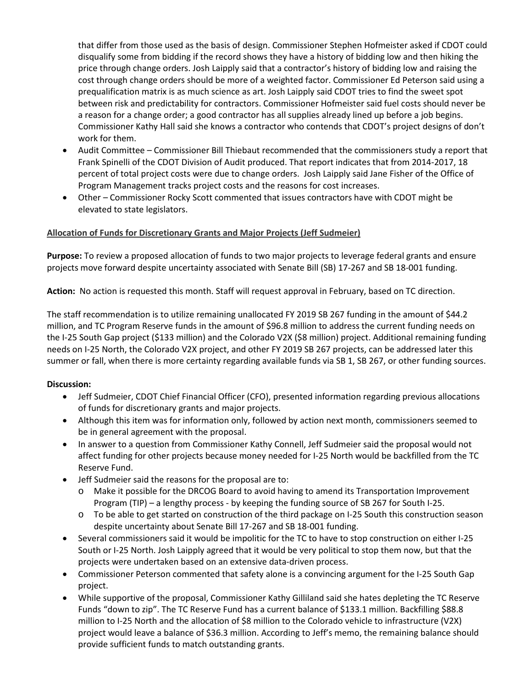that differ from those used as the basis of design. Commissioner Stephen Hofmeister asked if CDOT could disqualify some from bidding if the record shows they have a history of bidding low and then hiking the price through change orders. Josh Laipply said that a contractor's history of bidding low and raising the cost through change orders should be more of a weighted factor. Commissioner Ed Peterson said using a prequalification matrix is as much science as art. Josh Laipply said CDOT tries to find the sweet spot between risk and predictability for contractors. Commissioner Hofmeister said fuel costs should never be a reason for a change order; a good contractor has all supplies already lined up before a job begins. Commissioner Kathy Hall said she knows a contractor who contends that CDOT's project designs of don't work for them.

- Audit Committee Commissioner Bill Thiebaut recommended that the commissioners study a report that Frank Spinelli of the CDOT Division of Audit produced. That report indicates that from 2014-2017, 18 percent of total project costs were due to change orders. Josh Laipply said Jane Fisher of the Office of Program Management tracks project costs and the reasons for cost increases.
- Other Commissioner Rocky Scott commented that issues contractors have with CDOT might be elevated to state legislators.

### **Allocation of Funds for Discretionary Grants and Major Projects (Jeff Sudmeier)**

**Purpose:** To review a proposed allocation of funds to two major projects to leverage federal grants and ensure projects move forward despite uncertainty associated with Senate Bill (SB) 17-267 and SB 18-001 funding.

**Action:** No action is requested this month. Staff will request approval in February, based on TC direction.

The staff recommendation is to utilize remaining unallocated FY 2019 SB 267 funding in the amount of \$44.2 million, and TC Program Reserve funds in the amount of \$96.8 million to address the current funding needs on the I-25 South Gap project (\$133 million) and the Colorado V2X (\$8 million) project. Additional remaining funding needs on I-25 North, the Colorado V2X project, and other FY 2019 SB 267 projects, can be addressed later this summer or fall, when there is more certainty regarding available funds via SB 1, SB 267, or other funding sources.

- Jeff Sudmeier, CDOT Chief Financial Officer (CFO), presented information regarding previous allocations of funds for discretionary grants and major projects.
- Although this item was for information only, followed by action next month, commissioners seemed to be in general agreement with the proposal.
- In answer to a question from Commissioner Kathy Connell, Jeff Sudmeier said the proposal would not affect funding for other projects because money needed for I-25 North would be backfilled from the TC Reserve Fund.
- Jeff Sudmeier said the reasons for the proposal are to:
	- o Make it possible for the DRCOG Board to avoid having to amend its Transportation Improvement Program (TIP) – a lengthy process - by keeping the funding source of SB 267 for South I-25.
	- o To be able to get started on construction of the third package on I-25 South this construction season despite uncertainty about Senate Bill 17-267 and SB 18-001 funding.
- Several commissioners said it would be impolitic for the TC to have to stop construction on either I-25 South or I-25 North. Josh Laipply agreed that it would be very political to stop them now, but that the projects were undertaken based on an extensive data-driven process.
- Commissioner Peterson commented that safety alone is a convincing argument for the I-25 South Gap project.
- While supportive of the proposal, Commissioner Kathy Gilliland said she hates depleting the TC Reserve Funds "down to zip". The TC Reserve Fund has a current balance of \$133.1 million. Backfilling \$88.8 million to I-25 North and the allocation of \$8 million to the Colorado vehicle to infrastructure (V2X) project would leave a balance of \$36.3 million. According to Jeff's memo, the remaining balance should provide sufficient funds to match outstanding grants.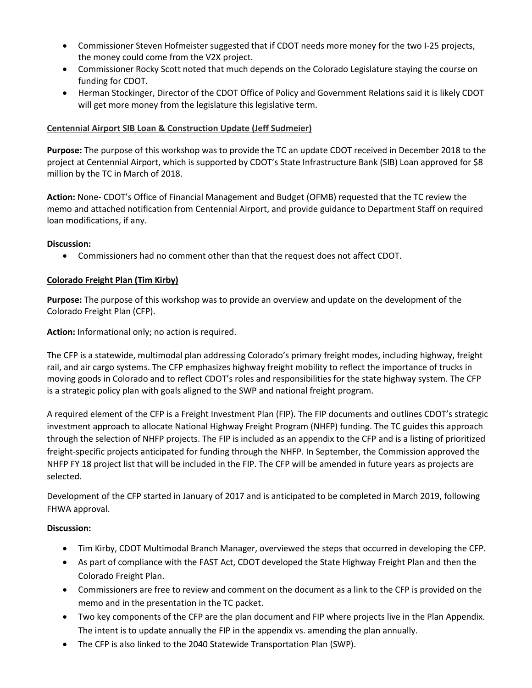- Commissioner Steven Hofmeister suggested that if CDOT needs more money for the two I-25 projects, the money could come from the V2X project.
- Commissioner Rocky Scott noted that much depends on the Colorado Legislature staying the course on funding for CDOT.
- Herman Stockinger, Director of the CDOT Office of Policy and Government Relations said it is likely CDOT will get more money from the legislature this legislative term.

### **Centennial Airport SIB Loan & Construction Update (Jeff Sudmeier)**

**Purpose:** The purpose of this workshop was to provide the TC an update CDOT received in December 2018 to the project at Centennial Airport, which is supported by CDOT's State Infrastructure Bank (SIB) Loan approved for \$8 million by the TC in March of 2018.

**Action:** None- CDOT's Office of Financial Management and Budget (OFMB) requested that the TC review the memo and attached notification from Centennial Airport, and provide guidance to Department Staff on required loan modifications, if any.

### **Discussion:**

• Commissioners had no comment other than that the request does not affect CDOT.

### **[Colorado Freight Plan \(Tim Kirby\)](https://www.codot.gov/about/transportation-commission/documents/2018-agendas-and-supporting-documents/december-2018/4-mobility-choice.pdf)**

**Purpose:** The purpose of this workshop was to provide an overview and update on the development of the Colorado Freight Plan (CFP).

**Action:** Informational only; no action is required.

The CFP is a statewide, multimodal plan addressing Colorado's primary freight modes, including highway, freight rail, and air cargo systems. The CFP emphasizes highway freight mobility to reflect the importance of trucks in moving goods in Colorado and to reflect CDOT's roles and responsibilities for the state highway system. The CFP is a strategic policy plan with goals aligned to the SWP and national freight program.

A required element of the CFP is a Freight Investment Plan (FIP). The FIP documents and outlines CDOT's strategic investment approach to allocate National Highway Freight Program (NHFP) funding. The TC guides this approach through the selection of NHFP projects. The FIP is included as an appendix to the CFP and is a listing of prioritized freight-specific projects anticipated for funding through the NHFP. In September, the Commission approved the NHFP FY 18 project list that will be included in the FIP. The CFP will be amended in future years as projects are selected.

Development of the CFP started in January of 2017 and is anticipated to be completed in March 2019, following FHWA approval.

- Tim Kirby, CDOT Multimodal Branch Manager, overviewed the steps that occurred in developing the CFP.
- As part of compliance with the FAST Act, CDOT developed the State Highway Freight Plan and then the Colorado Freight Plan.
- Commissioners are free to review and comment on the document as a link to the CFP is provided on the memo and in the presentation in the TC packet.
- Two key components of the CFP are the plan document and FIP where projects live in the Plan Appendix. The intent is to update annually the FIP in the appendix vs. amending the plan annually.
- The CFP is also linked to the 2040 Statewide Transportation Plan (SWP).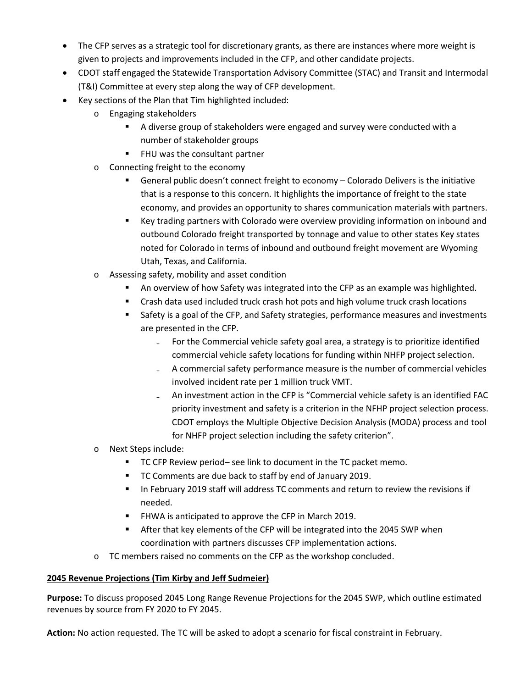- The CFP serves as a strategic tool for discretionary grants, as there are instances where more weight is given to projects and improvements included in the CFP, and other candidate projects.
- CDOT staff engaged the Statewide Transportation Advisory Committee (STAC) and Transit and Intermodal (T&I) Committee at every step along the way of CFP development.
- Key sections of the Plan that Tim highlighted included:
	- o Engaging stakeholders
		- A diverse group of stakeholders were engaged and survey were conducted with a number of stakeholder groups
		- FHU was the consultant partner
	- o Connecting freight to the economy
		- General public doesn't connect freight to economy Colorado Delivers is the initiative that is a response to this concern. It highlights the importance of freight to the state economy, and provides an opportunity to shares communication materials with partners.
		- Key trading partners with Colorado were overview providing information on inbound and outbound Colorado freight transported by tonnage and value to other states Key states noted for Colorado in terms of inbound and outbound freight movement are Wyoming Utah, Texas, and California.
	- o Assessing safety, mobility and asset condition
		- An overview of how Safety was integrated into the CFP as an example was highlighted.
		- Crash data used included truck crash hot pots and high volume truck crash locations
		- Safety is a goal of the CFP, and Safety strategies, performance measures and investments are presented in the CFP.
			- For the Commercial vehicle safety goal area, a strategy is to prioritize identified commercial vehicle safety locations for funding within NHFP project selection.
			- ₋ A commercial safety performance measure is the number of commercial vehicles involved incident rate per 1 million truck VMT.
			- ₋ An investment action in the CFP is "Commercial vehicle safety is an identified FAC priority investment and safety is a criterion in the NFHP project selection process. CDOT employs the Multiple Objective Decision Analysis (MODA) process and tool for NHFP project selection including the safety criterion".
	- o Next Steps include:
		- TC CFP Review period– see link to document in the TC packet memo.
		- TC Comments are due back to staff by end of January 2019.
		- In February 2019 staff will address TC comments and return to review the revisions if needed.
		- **FHWA is anticipated to approve the CFP in March 2019.**
		- **After that key elements of the CFP will be integrated into the 2045 SWP when** coordination with partners discusses CFP implementation actions.
	- o TC members raised no comments on the CFP as the workshop concluded.

# **2045 Revenue Projections (Tim Kirby and Jeff Sudmeier)**

**Purpose:** To discuss proposed 2045 Long Range Revenue Projections for the 2045 SWP, which outline estimated revenues by source from FY 2020 to FY 2045.

**Action:** No action requested. The TC will be asked to adopt a scenario for fiscal constraint in February.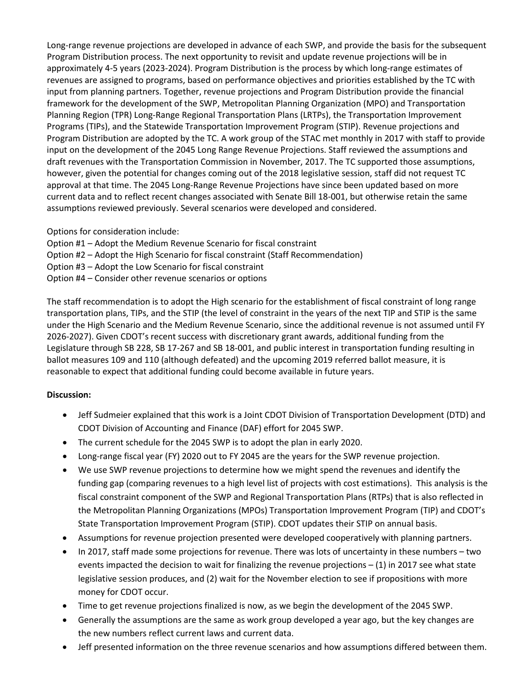Long-range revenue projections are developed in advance of each SWP, and provide the basis for the subsequent Program Distribution process. The next opportunity to revisit and update revenue projections will be in approximately 4-5 years (2023-2024). Program Distribution is the process by which long-range estimates of revenues are assigned to programs, based on performance objectives and priorities established by the TC with input from planning partners. Together, revenue projections and Program Distribution provide the financial framework for the development of the SWP, Metropolitan Planning Organization (MPO) and Transportation Planning Region (TPR) Long-Range Regional Transportation Plans (LRTPs), the Transportation Improvement Programs (TIPs), and the Statewide Transportation Improvement Program (STIP). Revenue projections and Program Distribution are adopted by the TC. A work group of the STAC met monthly in 2017 with staff to provide input on the development of the 2045 Long Range Revenue Projections. Staff reviewed the assumptions and draft revenues with the Transportation Commission in November, 2017. The TC supported those assumptions, however, given the potential for changes coming out of the 2018 legislative session, staff did not request TC approval at that time. The 2045 Long-Range Revenue Projections have since been updated based on more current data and to reflect recent changes associated with Senate Bill 18-001, but otherwise retain the same assumptions reviewed previously. Several scenarios were developed and considered.

Options for consideration include:

- Option #1 Adopt the Medium Revenue Scenario for fiscal constraint
- Option #2 Adopt the High Scenario for fiscal constraint (Staff Recommendation)
- Option #3 Adopt the Low Scenario for fiscal constraint
- Option #4 Consider other revenue scenarios or options

The staff recommendation is to adopt the High scenario for the establishment of fiscal constraint of long range transportation plans, TIPs, and the STIP (the level of constraint in the years of the next TIP and STIP is the same under the High Scenario and the Medium Revenue Scenario, since the additional revenue is not assumed until FY 2026-2027). Given CDOT's recent success with discretionary grant awards, additional funding from the Legislature through SB 228, SB 17-267 and SB 18-001, and public interest in transportation funding resulting in ballot measures 109 and 110 (although defeated) and the upcoming 2019 referred ballot measure, it is reasonable to expect that additional funding could become available in future years.

- Jeff Sudmeier explained that this work is a Joint CDOT Division of Transportation Development (DTD) and CDOT Division of Accounting and Finance (DAF) effort for 2045 SWP.
- The current schedule for the 2045 SWP is to adopt the plan in early 2020.
- Long-range fiscal year (FY) 2020 out to FY 2045 are the years for the SWP revenue projection.
- We use SWP revenue projections to determine how we might spend the revenues and identify the funding gap (comparing revenues to a high level list of projects with cost estimations). This analysis is the fiscal constraint component of the SWP and Regional Transportation Plans (RTPs) that is also reflected in the Metropolitan Planning Organizations (MPOs) Transportation Improvement Program (TIP) and CDOT's State Transportation Improvement Program (STIP). CDOT updates their STIP on annual basis.
- Assumptions for revenue projection presented were developed cooperatively with planning partners.
- In 2017, staff made some projections for revenue. There was lots of uncertainty in these numbers two events impacted the decision to wait for finalizing the revenue projections – (1) in 2017 see what state legislative session produces, and (2) wait for the November election to see if propositions with more money for CDOT occur.
- Time to get revenue projections finalized is now, as we begin the development of the 2045 SWP.
- Generally the assumptions are the same as work group developed a year ago, but the key changes are the new numbers reflect current laws and current data.
- Jeff presented information on the three revenue scenarios and how assumptions differed between them.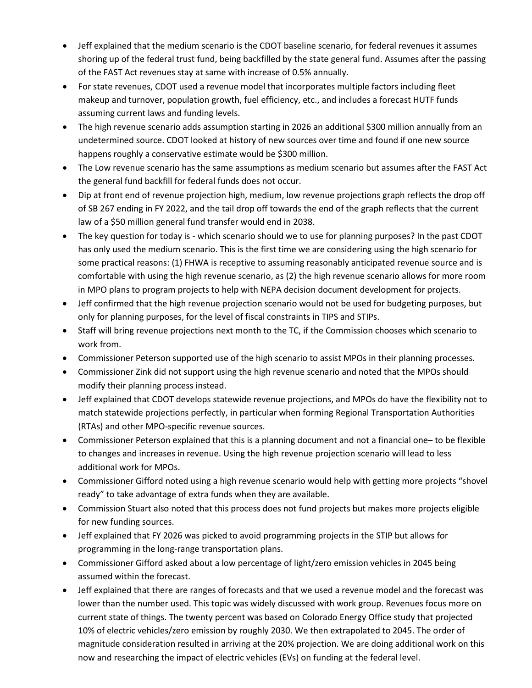- Jeff explained that the medium scenario is the CDOT baseline scenario, for federal revenues it assumes shoring up of the federal trust fund, being backfilled by the state general fund. Assumes after the passing of the FAST Act revenues stay at same with increase of 0.5% annually.
- For state revenues, CDOT used a revenue model that incorporates multiple factors including fleet makeup and turnover, population growth, fuel efficiency, etc., and includes a forecast HUTF funds assuming current laws and funding levels.
- The high revenue scenario adds assumption starting in 2026 an additional \$300 million annually from an undetermined source. CDOT looked at history of new sources over time and found if one new source happens roughly a conservative estimate would be \$300 million.
- The Low revenue scenario has the same assumptions as medium scenario but assumes after the FAST Act the general fund backfill for federal funds does not occur.
- Dip at front end of revenue projection high, medium, low revenue projections graph reflects the drop off of SB 267 ending in FY 2022, and the tail drop off towards the end of the graph reflects that the current law of a \$50 million general fund transfer would end in 2038.
- The key question for today is which scenario should we to use for planning purposes? In the past CDOT has only used the medium scenario. This is the first time we are considering using the high scenario for some practical reasons: (1) FHWA is receptive to assuming reasonably anticipated revenue source and is comfortable with using the high revenue scenario, as (2) the high revenue scenario allows for more room in MPO plans to program projects to help with NEPA decision document development for projects.
- Jeff confirmed that the high revenue projection scenario would not be used for budgeting purposes, but only for planning purposes, for the level of fiscal constraints in TIPS and STIPs.
- Staff will bring revenue projections next month to the TC, if the Commission chooses which scenario to work from.
- Commissioner Peterson supported use of the high scenario to assist MPOs in their planning processes.
- Commissioner Zink did not support using the high revenue scenario and noted that the MPOs should modify their planning process instead.
- Jeff explained that CDOT develops statewide revenue projections, and MPOs do have the flexibility not to match statewide projections perfectly, in particular when forming Regional Transportation Authorities (RTAs) and other MPO-specific revenue sources.
- Commissioner Peterson explained that this is a planning document and not a financial one– to be flexible to changes and increases in revenue. Using the high revenue projection scenario will lead to less additional work for MPOs.
- Commissioner Gifford noted using a high revenue scenario would help with getting more projects "shovel ready" to take advantage of extra funds when they are available.
- Commission Stuart also noted that this process does not fund projects but makes more projects eligible for new funding sources.
- Jeff explained that FY 2026 was picked to avoid programming projects in the STIP but allows for programming in the long-range transportation plans.
- Commissioner Gifford asked about a low percentage of light/zero emission vehicles in 2045 being assumed within the forecast.
- Jeff explained that there are ranges of forecasts and that we used a revenue model and the forecast was lower than the number used. This topic was widely discussed with work group. Revenues focus more on current state of things. The twenty percent was based on Colorado Energy Office study that projected 10% of electric vehicles/zero emission by roughly 2030. We then extrapolated to 2045. The order of magnitude consideration resulted in arriving at the 20% projection. We are doing additional work on this now and researching the impact of electric vehicles (EVs) on funding at the federal level.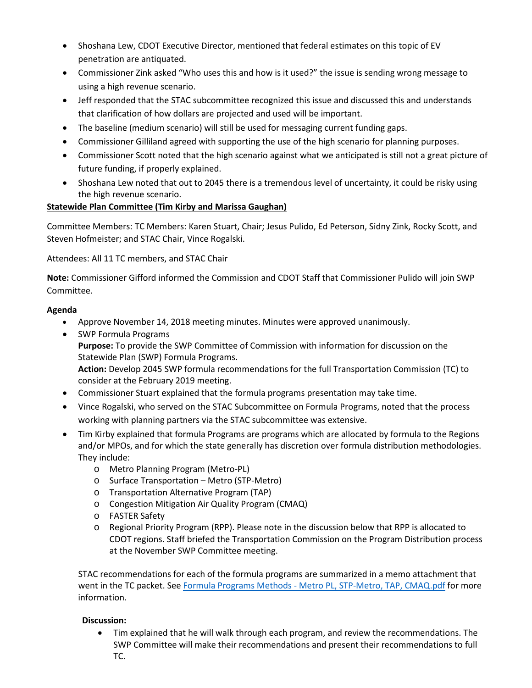- Shoshana Lew, CDOT Executive Director, mentioned that federal estimates on this topic of EV penetration are antiquated.
- Commissioner Zink asked "Who uses this and how is it used?" the issue is sending wrong message to using a high revenue scenario.
- Jeff responded that the STAC subcommittee recognized this issue and discussed this and understands that clarification of how dollars are projected and used will be important.
- The baseline (medium scenario) will still be used for messaging current funding gaps.
- Commissioner Gilliland agreed with supporting the use of the high scenario for planning purposes.
- Commissioner Scott noted that the high scenario against what we anticipated is still not a great picture of future funding, if properly explained.
- Shoshana Lew noted that out to 2045 there is a tremendous level of uncertainty, it could be risky using the high revenue scenario.

### **[Statewide](https://www.codot.gov/about/transportation-commission/documents/2018-agendas-and-supporting-documents/december-2018/5-mobility-next-and-tech-discussion.pdf) Plan Committee (Tim Kirby and Marissa Gaughan)**

Committee Members: TC Members: Karen Stuart, Chair; Jesus Pulido, Ed Peterson, Sidny Zink, Rocky Scott, and Steven Hofmeister; and STAC Chair, Vince Rogalski.

Attendees: All 11 TC members, and STAC Chair

**Note:** Commissioner Gifford informed the Commission and CDOT Staff that Commissioner Pulido will join SWP Committee.

### **Agenda**

- Approve November 14, 2018 meeting minutes. Minutes were approved unanimously.
- SWP Formula Programs **Purpose:** To provide the SWP Committee of Commission with information for discussion on the Statewide Plan (SWP) Formula Programs. **Action:** Develop 2045 SWP formula recommendations for the full Transportation Commission (TC) to consider at the February 2019 meeting.
- Commissioner Stuart explained that the formula programs presentation may take time.
- Vince Rogalski, who served on the STAC Subcommittee on Formula Programs, noted that the process working with planning partners via the STAC subcommittee was extensive.
- Tim Kirby explained that formula Programs are programs which are allocated by formula to the Regions and/or MPOs, and for which the state generally has discretion over formula distribution methodologies. They include:
	- o Metro Planning Program (Metro-PL)
	- o Surface Transportation Metro (STP-Metro)
	- o Transportation Alternative Program (TAP)
	- o Congestion Mitigation Air Quality Program (CMAQ)
	- o FASTER Safety
	- o Regional Priority Program (RPP). Please note in the discussion below that RPP is allocated to CDOT regions. Staff briefed the Transportation Commission on the Program Distribution process at the November SWP Committee meeting.

STAC recommendations for each of the formula programs are summarized in a memo attachment that went in the TC packet. See Formula Programs Methods - Metro PL, STP-Metro, TAP, CMAQ.pdf for more information.

### **Discussion:**

• Tim explained that he will walk through each program, and review the recommendations. The SWP Committee will make their recommendations and present their recommendations to full TC.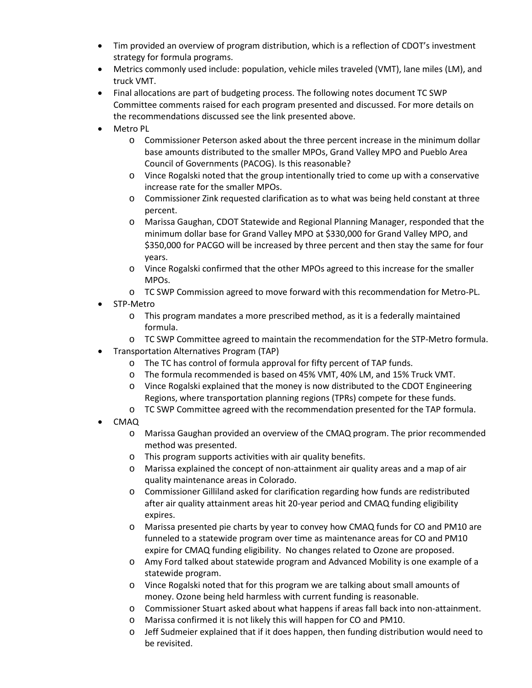- Tim provided an overview of program distribution, which is a reflection of CDOT's investment strategy for formula programs.
- Metrics commonly used include: population, vehicle miles traveled (VMT), lane miles (LM), and truck VMT.
- Final allocations are part of budgeting process. The following notes document TC SWP Committee comments raised for each program presented and discussed. For more details on the recommendations discussed see the link presented above.
- Metro PL
	- $\circ$  Commissioner Peterson asked about the three percent increase in the minimum dollar base amounts distributed to the smaller MPOs, Grand Valley MPO and Pueblo Area Council of Governments (PACOG). Is this reasonable?
	- o Vince Rogalski noted that the group intentionally tried to come up with a conservative increase rate for the smaller MPOs.
	- o Commissioner Zink requested clarification as to what was being held constant at three percent.
	- o Marissa Gaughan, CDOT Statewide and Regional Planning Manager, responded that the minimum dollar base for Grand Valley MPO at \$330,000 for Grand Valley MPO, and \$350,000 for PACGO will be increased by three percent and then stay the same for four years.
	- o Vince Rogalski confirmed that the other MPOs agreed to this increase for the smaller MPOs.
	- o TC SWP Commission agreed to move forward with this recommendation for Metro-PL.
- STP-Metro
	- o This program mandates a more prescribed method, as it is a federally maintained formula.
	- o TC SWP Committee agreed to maintain the recommendation for the STP-Metro formula.
- Transportation Alternatives Program (TAP)
	- o The TC has control of formula approval for fifty percent of TAP funds.
	- o The formula recommended is based on 45% VMT, 40% LM, and 15% Truck VMT.
	- o Vince Rogalski explained that the money is now distributed to the CDOT Engineering Regions, where transportation planning regions (TPRs) compete for these funds.
	- o TC SWP Committee agreed with the recommendation presented for the TAP formula.
- CMAQ
	- o Marissa Gaughan provided an overview of the CMAQ program. The prior recommended method was presented.
	- o This program supports activities with air quality benefits.
	- o Marissa explained the concept of non-attainment air quality areas and a map of air quality maintenance areas in Colorado.
	- o Commissioner Gilliland asked for clarification regarding how funds are redistributed after air quality attainment areas hit 20-year period and CMAQ funding eligibility expires.
	- o Marissa presented pie charts by year to convey how CMAQ funds for CO and PM10 are funneled to a statewide program over time as maintenance areas for CO and PM10 expire for CMAQ funding eligibility. No changes related to Ozone are proposed.
	- o Amy Ford talked about statewide program and Advanced Mobility is one example of a statewide program.
	- o Vince Rogalski noted that for this program we are talking about small amounts of money. Ozone being held harmless with current funding is reasonable.
	- o Commissioner Stuart asked about what happens if areas fall back into non-attainment.
	- o Marissa confirmed it is not likely this will happen for CO and PM10.
	- $\circ$  Jeff Sudmeier explained that if it does happen, then funding distribution would need to be revisited.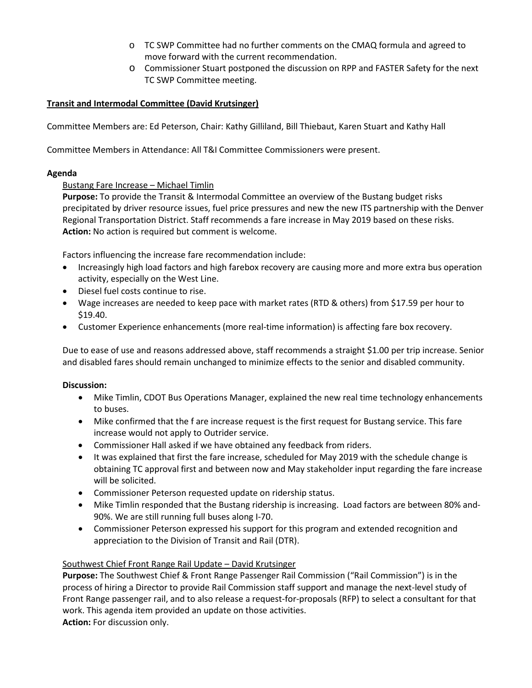- o TC SWP Committee had no further comments on the CMAQ formula and agreed to move forward with the current recommendation.
- o Commissioner Stuart postponed the discussion on RPP and FASTER Safety for the next TC SWP Committee meeting.

# **Transit and Intermodal Committee (David Krutsinger)**

Committee Members are: Ed Peterson, Chair: Kathy Gilliland, Bill Thiebaut, Karen Stuart and Kathy Hall

Committee Members in Attendance: All T&I Committee Commissioners were present.

#### **Agenda**

### Bustang Fare Increase – Michael Timlin

**Purpose:** To provide the Transit & Intermodal Committee an overview of the Bustang budget risks precipitated by driver resource issues, fuel price pressures and new the new ITS partnership with the Denver Regional Transportation District. Staff recommends a fare increase in May 2019 based on these risks. **Action:** No action is required but comment is welcome.

Factors influencing the increase fare recommendation include:

- Increasingly high load factors and high farebox recovery are causing more and more extra bus operation activity, especially on the West Line.
- Diesel fuel costs continue to rise.
- Wage increases are needed to keep pace with market rates (RTD & others) from \$17.59 per hour to \$19.40.
- Customer Experience enhancements (more real-time information) is affecting fare box recovery.

Due to ease of use and reasons addressed above, staff recommends a straight \$1.00 per trip increase. Senior and disabled fares should remain unchanged to minimize effects to the senior and disabled community.

### **Discussion:**

- Mike Timlin, CDOT Bus Operations Manager, explained the new real time technology enhancements to buses.
- Mike confirmed that the f are increase request is the first request for Bustang service. This fare increase would not apply to Outrider service.
- Commissioner Hall asked if we have obtained any feedback from riders.
- It was explained that first the fare increase, scheduled for May 2019 with the schedule change is obtaining TC approval first and between now and May stakeholder input regarding the fare increase will be solicited.
- Commissioner Peterson requested update on ridership status.
- Mike Timlin responded that the Bustang ridership is increasing. Load factors are between 80% and-90%. We are still running full buses along I-70.
- Commissioner Peterson expressed his support for this program and extended recognition and appreciation to the Division of Transit and Rail (DTR).

### Southwest Chief Front Range Rail Update – David Krutsinger

**Purpose:** The Southwest Chief & Front Range Passenger Rail Commission ("Rail Commission") is in the process of hiring a Director to provide Rail Commission staff support and manage the next-level study of Front Range passenger rail, and to also release a request-for-proposals (RFP) to select a consultant for that work. This agenda item provided an update on those activities.

**Action:** For discussion only.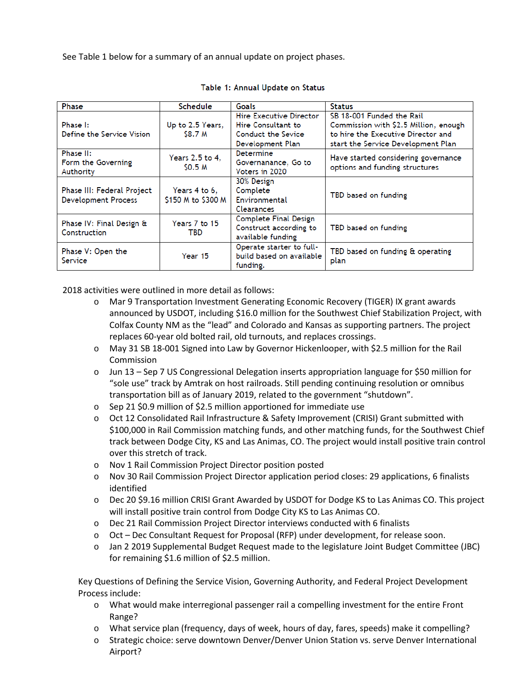See Table 1 below for a summary of an annual update on project phases.

| Phase                                    | Schedule                            | Goals                    | <b>Status</b>                         |  |  |
|------------------------------------------|-------------------------------------|--------------------------|---------------------------------------|--|--|
|                                          |                                     | Hire Executive Director  | SB 18-001 Funded the Rail             |  |  |
| Phase I:                                 | Up to 2.5 Years,                    | Hire Consultant to       | Commission with \$2.5 Million, enough |  |  |
| Define the Service Vision                | <b>S8.7 M</b>                       | Conduct the Sevice       | to hire the Executive Director and    |  |  |
|                                          |                                     | Development Plan         | start the Service Development Plan    |  |  |
| Phase II:                                | Years 2.5 to 4,                     | Determine                |                                       |  |  |
| Form the Governing                       |                                     | Governanance, Go to      | Have started considering governance   |  |  |
| Authority                                | SO.5M                               | Voters in 2020           | options and funding structures        |  |  |
|                                          |                                     | 30% Design               |                                       |  |  |
| Phase III: Federal Project               | Years 4 to 6,<br>\$150 M to \$300 M | Complete                 |                                       |  |  |
| <b>Development Process</b>               |                                     | Environmental            | TBD based on funding                  |  |  |
|                                          |                                     | Clearances               |                                       |  |  |
|                                          | Years 7 to 15                       | Complete Final Design    |                                       |  |  |
| Phase IV: Final Design &<br>Construction | TBD                                 | Construct according to   | TBD based on funding                  |  |  |
|                                          |                                     | available funding        |                                       |  |  |
| Phase V: Open the                        |                                     | Operate starter to full- | TBD based on funding & operating      |  |  |
| Service                                  | Year 15                             | build based on available | plan                                  |  |  |
|                                          |                                     | funding.                 |                                       |  |  |

#### Table 1: Annual Update on Status

2018 activities were outlined in more detail as follows:

- o Mar 9 Transportation Investment Generating Economic Recovery (TIGER) IX grant awards announced by USDOT, including \$16.0 million for the Southwest Chief Stabilization Project, with Colfax County NM as the "lead" and Colorado and Kansas as supporting partners. The project replaces 60-year old bolted rail, old turnouts, and replaces crossings.
- o May 31 SB 18-001 Signed into Law by Governor Hickenlooper, with \$2.5 million for the Rail Commission
- o Jun 13 Sep 7 US Congressional Delegation inserts appropriation language for \$50 million for "sole use" track by Amtrak on host railroads. Still pending continuing resolution or omnibus transportation bill as of January 2019, related to the government "shutdown".
- o Sep 21 \$0.9 million of \$2.5 million apportioned for immediate use
- o Oct 12 Consolidated Rail Infrastructure & Safety Improvement (CRISI) Grant submitted with \$100,000 in Rail Commission matching funds, and other matching funds, for the Southwest Chief track between Dodge City, KS and Las Animas, CO. The project would install positive train control over this stretch of track.
- o Nov 1 Rail Commission Project Director position posted
- o Nov 30 Rail Commission Project Director application period closes: 29 applications, 6 finalists identified
- o Dec 20 \$9.16 million CRISI Grant Awarded by USDOT for Dodge KS to Las Animas CO. This project will install positive train control from Dodge City KS to Las Animas CO.
- o Dec 21 Rail Commission Project Director interviews conducted with 6 finalists
- o Oct Dec Consultant Request for Proposal (RFP) under development, for release soon.
- o Jan 2 2019 Supplemental Budget Request made to the legislature Joint Budget Committee (JBC) for remaining \$1.6 million of \$2.5 million.

Key Questions of Defining the Service Vision, Governing Authority, and Federal Project Development Process include:

- o What would make interregional passenger rail a compelling investment for the entire Front Range?
- o What service plan (frequency, days of week, hours of day, fares, speeds) make it compelling?
- o Strategic choice: serve downtown Denver/Denver Union Station vs. serve Denver International Airport?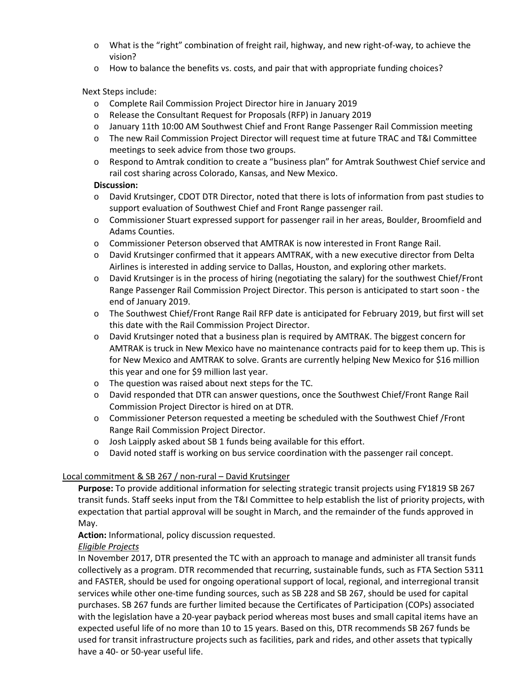- $\circ$  What is the "right" combination of freight rail, highway, and new right-of-way, to achieve the vision?
- $\circ$  How to balance the benefits vs. costs, and pair that with appropriate funding choices?

# Next Steps include:

- o Complete Rail Commission Project Director hire in January 2019
- o Release the Consultant Request for Proposals (RFP) in January 2019
- o January 11th 10:00 AM Southwest Chief and Front Range Passenger Rail Commission meeting
- o The new Rail Commission Project Director will request time at future TRAC and T&I Committee meetings to seek advice from those two groups.
- o Respond to Amtrak condition to create a "business plan" for Amtrak Southwest Chief service and rail cost sharing across Colorado, Kansas, and New Mexico.

### **Discussion:**

- o David Krutsinger, CDOT DTR Director, noted that there is lots of information from past studies to support evaluation of Southwest Chief and Front Range passenger rail.
- o Commissioner Stuart expressed support for passenger rail in her areas, Boulder, Broomfield and Adams Counties.
- o Commissioner Peterson observed that AMTRAK is now interested in Front Range Rail.
- o David Krutsinger confirmed that it appears AMTRAK, with a new executive director from Delta Airlines is interested in adding service to Dallas, Houston, and exploring other markets.
- $\circ$  David Krutsinger is in the process of hiring (negotiating the salary) for the southwest Chief/Front Range Passenger Rail Commission Project Director. This person is anticipated to start soon - the end of January 2019.
- o The Southwest Chief/Front Range Rail RFP date is anticipated for February 2019, but first will set this date with the Rail Commission Project Director.
- $\circ$  David Krutsinger noted that a business plan is required by AMTRAK. The biggest concern for AMTRAK is truck in New Mexico have no maintenance contracts paid for to keep them up. This is for New Mexico and AMTRAK to solve. Grants are currently helping New Mexico for \$16 million this year and one for \$9 million last year.
- o The question was raised about next steps for the TC.
- o David responded that DTR can answer questions, once the Southwest Chief/Front Range Rail Commission Project Director is hired on at DTR.
- o Commissioner Peterson requested a meeting be scheduled with the Southwest Chief /Front Range Rail Commission Project Director.
- o Josh Laipply asked about SB 1 funds being available for this effort.
- o David noted staff is working on bus service coordination with the passenger rail concept.

# Local commitment & SB 267 / non-rural – David Krutsinger

**Purpose:** To provide additional information for selecting strategic transit projects using FY1819 SB 267 transit funds. Staff seeks input from the T&I Committee to help establish the list of priority projects, with expectation that partial approval will be sought in March, and the remainder of the funds approved in May.

**Action:** Informational, policy discussion requested.

# *Eligible Projects*

In November 2017, DTR presented the TC with an approach to manage and administer all transit funds collectively as a program. DTR recommended that recurring, sustainable funds, such as FTA Section 5311 and FASTER, should be used for ongoing operational support of local, regional, and interregional transit services while other one-time funding sources, such as SB 228 and SB 267, should be used for capital purchases. SB 267 funds are further limited because the Certificates of Participation (COPs) associated with the legislation have a 20-year payback period whereas most buses and small capital items have an expected useful life of no more than 10 to 15 years. Based on this, DTR recommends SB 267 funds be used for transit infrastructure projects such as facilities, park and rides, and other assets that typically have a 40- or 50-year useful life.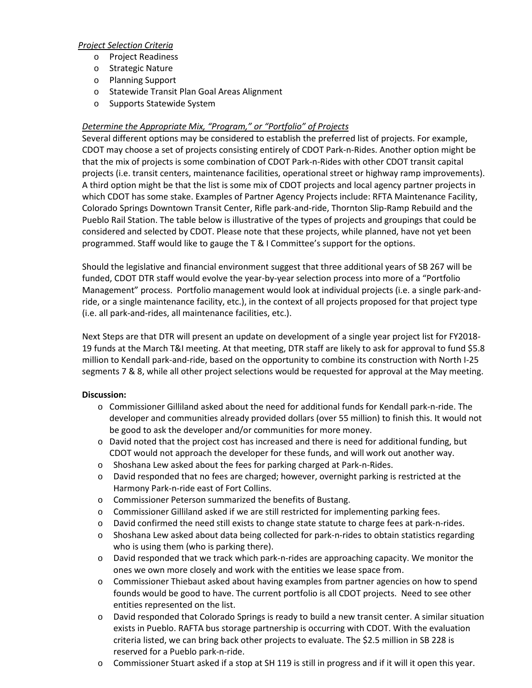### *Project Selection Criteria*

- o Project Readiness
- o Strategic Nature
- o Planning Support
- o Statewide Transit Plan Goal Areas Alignment
- o Supports Statewide System

# *Determine the Appropriate Mix, "Program," or "Portfolio" of Projects*

Several different options may be considered to establish the preferred list of projects. For example, CDOT may choose a set of projects consisting entirely of CDOT Park-n-Rides. Another option might be that the mix of projects is some combination of CDOT Park-n-Rides with other CDOT transit capital projects (i.e. transit centers, maintenance facilities, operational street or highway ramp improvements). A third option might be that the list is some mix of CDOT projects and local agency partner projects in which CDOT has some stake. Examples of Partner Agency Projects include: RFTA Maintenance Facility, Colorado Springs Downtown Transit Center, Rifle park-and-ride, Thornton Slip-Ramp Rebuild and the Pueblo Rail Station. The table below is illustrative of the types of projects and groupings that could be considered and selected by CDOT. Please note that these projects, while planned, have not yet been programmed. Staff would like to gauge the T & I Committee's support for the options.

Should the legislative and financial environment suggest that three additional years of SB 267 will be funded, CDOT DTR staff would evolve the year-by-year selection process into more of a "Portfolio Management" process. Portfolio management would look at individual projects (i.e. a single park-andride, or a single maintenance facility, etc.), in the context of all projects proposed for that project type (i.e. all park-and-rides, all maintenance facilities, etc.).

Next Steps are that DTR will present an update on development of a single year project list for FY2018- 19 funds at the March T&I meeting. At that meeting, DTR staff are likely to ask for approval to fund \$5.8 million to Kendall park-and-ride, based on the opportunity to combine its construction with North I-25 segments 7 & 8, while all other project selections would be requested for approval at the May meeting.

- o Commissioner Gilliland asked about the need for additional funds for Kendall park-n-ride. The developer and communities already provided dollars (over 55 million) to finish this. It would not be good to ask the developer and/or communities for more money.
- $\circ$  David noted that the project cost has increased and there is need for additional funding, but CDOT would not approach the developer for these funds, and will work out another way.
- $\circ$  Shoshana Lew asked about the fees for parking charged at Park-n-Rides.
- o David responded that no fees are charged; however, overnight parking is restricted at the Harmony Park-n-ride east of Fort Collins.
- o Commissioner Peterson summarized the benefits of Bustang.
- o Commissioner Gilliland asked if we are still restricted for implementing parking fees.
- o David confirmed the need still exists to change state statute to charge fees at park-n-rides.
- o Shoshana Lew asked about data being collected for park-n-rides to obtain statistics regarding who is using them (who is parking there).
- o David responded that we track which park-n-rides are approaching capacity. We monitor the ones we own more closely and work with the entities we lease space from.
- o Commissioner Thiebaut asked about having examples from partner agencies on how to spend founds would be good to have. The current portfolio is all CDOT projects. Need to see other entities represented on the list.
- o David responded that Colorado Springs is ready to build a new transit center. A similar situation exists in Pueblo. RAFTA bus storage partnership is occurring with CDOT. With the evaluation criteria listed, we can bring back other projects to evaluate. The \$2.5 million in SB 228 is reserved for a Pueblo park-n-ride.
- o Commissioner Stuart asked if a stop at SH 119 is still in progress and if it will it open this year.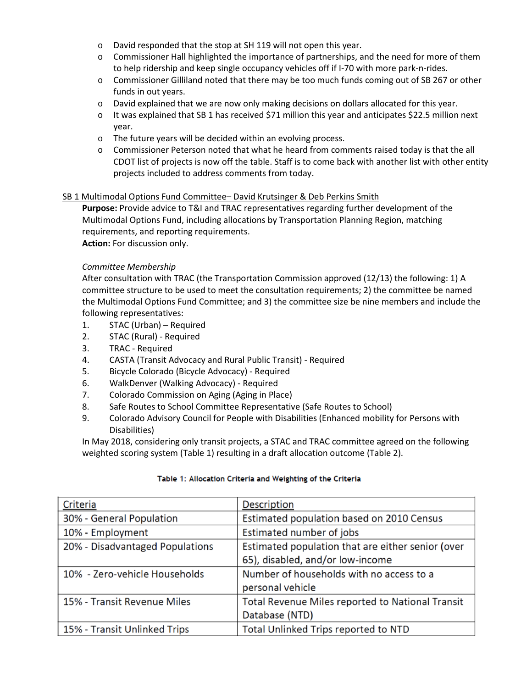- o David responded that the stop at SH 119 will not open this year.
- o Commissioner Hall highlighted the importance of partnerships, and the need for more of them to help ridership and keep single occupancy vehicles off if I-70 with more park-n-rides.
- o Commissioner Gilliland noted that there may be too much funds coming out of SB 267 or other funds in out years.
- o David explained that we are now only making decisions on dollars allocated for this year.
- $\circ$  It was explained that SB 1 has received \$71 million this year and anticipates \$22.5 million next year.
- o The future years will be decided within an evolving process.
- $\circ$  Commissioner Peterson noted that what he heard from comments raised today is that the all CDOT list of projects is now off the table. Staff is to come back with another list with other entity projects included to address comments from today.

### SB 1 Multimodal Options Fund Committee– David Krutsinger & Deb Perkins Smith

**Purpose:** Provide advice to T&I and TRAC representatives regarding further development of the Multimodal Options Fund, including allocations by Transportation Planning Region, matching requirements, and reporting requirements.

**Action:** For discussion only.

#### *Committee Membership*

After consultation with TRAC (the Transportation Commission approved (12/13) the following: 1) A committee structure to be used to meet the consultation requirements; 2) the committee be named the Multimodal Options Fund Committee; and 3) the committee size be nine members and include the following representatives:

- 1. STAC (Urban) Required
- 2. STAC (Rural) Required
- 3. TRAC Required
- 4. CASTA (Transit Advocacy and Rural Public Transit) Required
- 5. Bicycle Colorado (Bicycle Advocacy) Required
- 6. WalkDenver (Walking Advocacy) Required
- 7. Colorado Commission on Aging (Aging in Place)
- 8. Safe Routes to School Committee Representative (Safe Routes to School)
- 9. Colorado Advisory Council for People with Disabilities (Enhanced mobility for Persons with Disabilities)

In May 2018, considering only transit projects, a STAC and TRAC committee agreed on the following weighted scoring system (Table 1) resulting in a draft allocation outcome (Table 2).

| Criteria                        | Description                                       |
|---------------------------------|---------------------------------------------------|
| 30% - General Population        | Estimated population based on 2010 Census         |
| 10% - Employment                | Estimated number of jobs                          |
| 20% - Disadvantaged Populations | Estimated population that are either senior (over |
|                                 | 65), disabled, and/or low-income                  |
| 10% - Zero-vehicle Households   | Number of households with no access to a          |
|                                 | personal vehicle                                  |
| 15% - Transit Revenue Miles     | Total Revenue Miles reported to National Transit  |
|                                 | Database (NTD)                                    |
| 15% - Transit Unlinked Trips    | Total Unlinked Trips reported to NTD              |

#### Table 1: Allocation Criteria and Weighting of the Criteria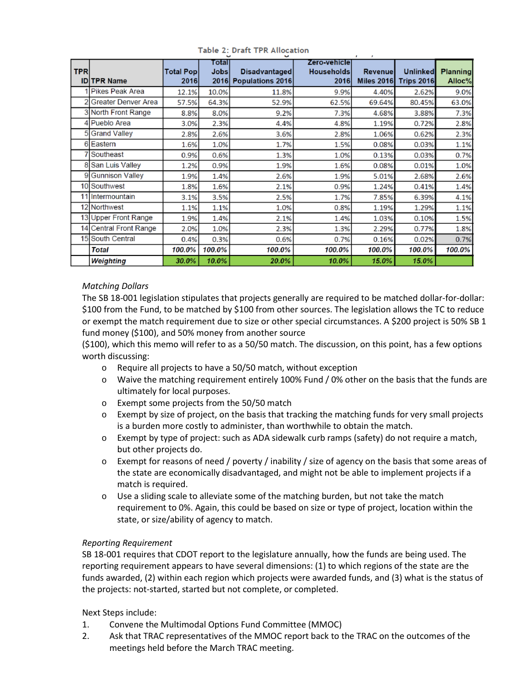| <b>TPR</b>      | <b>IDITPR Name</b>         | <b>Total Popl</b><br>2016 | <b>Fotal</b><br>Jobsl | <b>Disadvantaged</b><br>2016 Populations 2016 | Zero-vehiclel<br>Households<br>2016 | <b>Revenue</b><br><b>Miles 2016</b> | <b>Unlinked</b><br><b>Trips 2016</b> | <b>Planning</b><br>Alloc% |
|-----------------|----------------------------|---------------------------|-----------------------|-----------------------------------------------|-------------------------------------|-------------------------------------|--------------------------------------|---------------------------|
|                 | Pikes Peak Area            | 12.1%                     | 10.0%                 | 11.8%                                         | 9.9%                                | 4.40%                               | 2.62%                                | 9.0%                      |
|                 | Greater Denver Area        | 57.5%                     | 64.3%                 | 52.9%                                         | 62.5%                               | 69.64%                              | 80.45%                               | 63.0%                     |
|                 | 3 North Front Range        | 8.8%                      | 8.0%                  | 9.2%                                          | 7.3%                                | 4.68%                               | 3.88%                                | 7.3%                      |
|                 | Pueblo Area                | 3.0%                      | 2.3%                  | 4.4%                                          | 4.8%                                | 1.19%                               | 0.72%                                | 2.8%                      |
|                 | <b>Grand Valley</b>        | 2.8%                      | 2.6%                  | 3.6%                                          | 2.8%                                | 1.06%                               | 0.62%                                | 2.3%                      |
| 6               | Eastern                    | 1.6%                      | 1.0%                  | 1.7%                                          | 1.5%                                | 0.08%                               | 0.03%                                | 1.1%                      |
|                 | Southeast                  | 0.9%                      | 0.6%                  | 1.3%                                          | 1.0%                                | 0.13%                               | 0.03%                                | 0.7%                      |
|                 | San Luis Valley            | 1.2%                      | 0.9%                  | 1.9%                                          | 1.6%                                | 0.08%                               | 0.01%                                | 1.0%                      |
| 9               | <b>Gunnison Valley</b>     | 1.9%                      | 1.4%                  | 2.6%                                          | 1.9%                                | 5.01%                               | 2.68%                                | 2.6%                      |
| 10 <sup>1</sup> | Southwest                  | 1.8%                      | 1.6%                  | 2.1%                                          | 0.9%                                | 1.24%                               | 0.41%                                | 1.4%                      |
| 11              | Intermountain              | 3.1%                      | 3.5%                  | 2.5%                                          | 1.7%                                | 7.85%                               | 6.39%                                | 4.1%                      |
|                 | 12 Northwest               | 1.1%                      | 1.1%                  | 1.0%                                          | 0.8%                                | 1.19%                               | 1.29%                                | 1.1%                      |
|                 | 13 Upper Front Range       | 1.9%                      | 1.4%                  | 2.1%                                          | 1.4%                                | 1.03%                               | 0.10%                                | 1.5%                      |
| 14              | <b>Central Front Range</b> | 2.0%                      | 1.0%                  | 2.3%                                          | 1.3%                                | 2.29%                               | 0.77%                                | 1.8%                      |
| 15              | South Central              | 0.4%                      | 0.3%                  | 0.6%                                          | 0.7%                                | 0.16%                               | 0.02%                                | 0.7%                      |
|                 | Total                      | 100.0%                    | 100.0%                | 100.0%                                        | 100.0%                              | 100.0%                              | 100.0%                               | 100.0%                    |
|                 | Weighting                  | 30.0%                     | 10.0%                 | 20.0%                                         | 10.0%                               | 15.0%                               | 15.0%                                |                           |

Table 2: Draft TPR Allocation

# *Matching Dollars*

The SB 18-001 legislation stipulates that projects generally are required to be matched dollar-for-dollar: \$100 from the Fund, to be matched by \$100 from other sources. The legislation allows the TC to reduce or exempt the match requirement due to size or other special circumstances. A \$200 project is 50% SB 1 fund money (\$100), and 50% money from another source

(\$100), which this memo will refer to as a 50/50 match. The discussion, on this point, has a few options worth discussing:

- o Require all projects to have a 50/50 match, without exception
- o Waive the matching requirement entirely 100% Fund / 0% other on the basis that the funds are ultimately for local purposes.
- o Exempt some projects from the 50/50 match
- o Exempt by size of project, on the basis that tracking the matching funds for very small projects is a burden more costly to administer, than worthwhile to obtain the match.
- o Exempt by type of project: such as ADA sidewalk curb ramps (safety) do not require a match, but other projects do.
- o Exempt for reasons of need / poverty / inability / size of agency on the basis that some areas of the state are economically disadvantaged, and might not be able to implement projects if a match is required.
- o Use a sliding scale to alleviate some of the matching burden, but not take the match requirement to 0%. Again, this could be based on size or type of project, location within the state, or size/ability of agency to match.

### *Reporting Requirement*

SB 18-001 requires that CDOT report to the legislature annually, how the funds are being used. The reporting requirement appears to have several dimensions: (1) to which regions of the state are the funds awarded, (2) within each region which projects were awarded funds, and (3) what is the status of the projects: not-started, started but not complete, or completed.

Next Steps include:

- 1. Convene the Multimodal Options Fund Committee (MMOC)
- 2. Ask that TRAC representatives of the MMOC report back to the TRAC on the outcomes of the meetings held before the March TRAC meeting.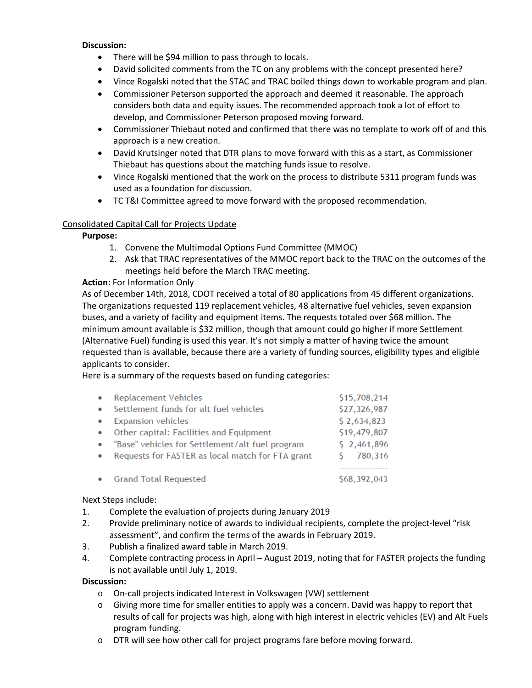### **Discussion:**

- There will be \$94 million to pass through to locals.
- David solicited comments from the TC on any problems with the concept presented here?
- Vince Rogalski noted that the STAC and TRAC boiled things down to workable program and plan.
- Commissioner Peterson supported the approach and deemed it reasonable. The approach considers both data and equity issues. The recommended approach took a lot of effort to develop, and Commissioner Peterson proposed moving forward.
- Commissioner Thiebaut noted and confirmed that there was no template to work off of and this approach is a new creation.
- David Krutsinger noted that DTR plans to move forward with this as a start, as Commissioner Thiebaut has questions about the matching funds issue to resolve.
- Vince Rogalski mentioned that the work on the process to distribute 5311 program funds was used as a foundation for discussion.
- TC T&I Committee agreed to move forward with the proposed recommendation.

# Consolidated Capital Call for Projects Update

### **Purpose:**

- 1. Convene the Multimodal Options Fund Committee (MMOC)
- 2. Ask that TRAC representatives of the MMOC report back to the TRAC on the outcomes of the meetings held before the March TRAC meeting.

# **Action:** For Information Only

As of December 14th, 2018, CDOT received a total of 80 applications from 45 different organizations. The organizations requested 119 replacement vehicles, 48 alternative fuel vehicles, seven expansion buses, and a variety of facility and equipment items. The requests totaled over \$68 million. The minimum amount available is \$32 million, though that amount could go higher if more Settlement (Alternative Fuel) funding is used this year. It's not simply a matter of having twice the amount requested than is available, because there are a variety of funding sources, eligibility types and eligible applicants to consider.

Here is a summary of the requests based on funding categories:

| $\bullet$ | Replacement Vehicles                              | \$15,708,214 |  |  |
|-----------|---------------------------------------------------|--------------|--|--|
| $\bullet$ | Settlement funds for alt fuel vehicles            | \$27,326,987 |  |  |
| $\bullet$ | <b>Expansion vehicles</b>                         | \$2,634,823  |  |  |
|           | • Other capital: Facilities and Equipment         | \$19,479,807 |  |  |
|           | • "Base" vehicles for Settlement/alt fuel program | \$2,461,896  |  |  |
| $\bullet$ | Requests for FASTER as local match for FTA grant  | 780,316      |  |  |
|           |                                                   |              |  |  |
|           | • Grand Total Requested                           | \$68,392,043 |  |  |

# Next Steps include:

- 1. Complete the evaluation of projects during January 2019
- 2. Provide preliminary notice of awards to individual recipients, complete the project-level "risk assessment", and confirm the terms of the awards in February 2019.
- 3. Publish a finalized award table in March 2019.
- 4. Complete contracting process in April August 2019, noting that for FASTER projects the funding is not available until July 1, 2019.

- o On-call projects indicated Interest in Volkswagen (VW) settlement
- $\circ$  Giving more time for smaller entities to apply was a concern. David was happy to report that results of call for projects was high, along with high interest in electric vehicles (EV) and Alt Fuels program funding.
- o DTR will see how other call for project programs fare before moving forward.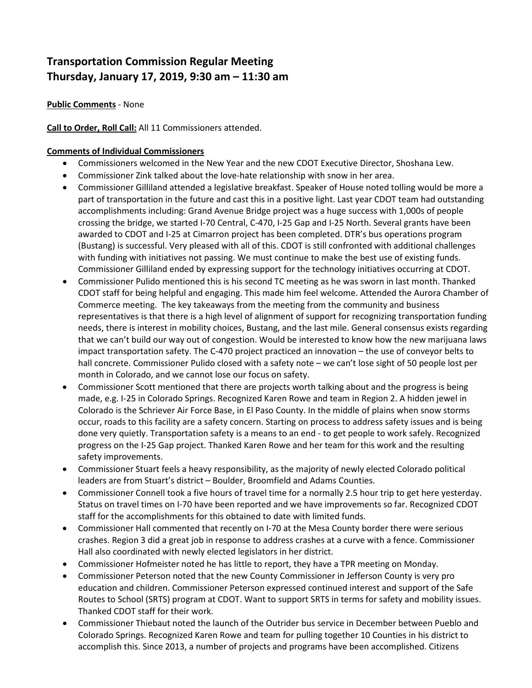# **Transportation Commission Regular Meeting Thursday, January 17, 2019, 9:30 am – 11:30 am**

**Public Comments** - None

**Call to Order, Roll Call:** All 11 Commissioners attended.

### **Comments of Individual Commissioners**

- Commissioners welcomed in the New Year and the new CDOT Executive Director, Shoshana Lew.
- Commissioner Zink talked about the love-hate relationship with snow in her area.
- Commissioner Gilliland attended a legislative breakfast. Speaker of House noted tolling would be more a part of transportation in the future and cast this in a positive light. Last year CDOT team had outstanding accomplishments including: Grand Avenue Bridge project was a huge success with 1,000s of people crossing the bridge, we started I-70 Central, C-470, I-25 Gap and I-25 North. Several grants have been awarded to CDOT and I-25 at Cimarron project has been completed. DTR's bus operations program (Bustang) is successful. Very pleased with all of this. CDOT is still confronted with additional challenges with funding with initiatives not passing. We must continue to make the best use of existing funds. Commissioner Gilliland ended by expressing support for the technology initiatives occurring at CDOT.
- Commissioner Pulido mentioned this is his second TC meeting as he was sworn in last month. Thanked CDOT staff for being helpful and engaging. This made him feel welcome. Attended the Aurora Chamber of Commerce meeting. The key takeaways from the meeting from the community and business representatives is that there is a high level of alignment of support for recognizing transportation funding needs, there is interest in mobility choices, Bustang, and the last mile. General consensus exists regarding that we can't build our way out of congestion. Would be interested to know how the new marijuana laws impact transportation safety. The C-470 project practiced an innovation – the use of conveyor belts to hall concrete. Commissioner Pulido closed with a safety note – we can't lose sight of 50 people lost per month in Colorado, and we cannot lose our focus on safety.
- Commissioner Scott mentioned that there are projects worth talking about and the progress is being made, e.g. I-25 in Colorado Springs. Recognized Karen Rowe and team in Region 2. A hidden jewel in Colorado is the Schriever Air Force Base, in El Paso County. In the middle of plains when snow storms occur, roads to this facility are a safety concern. Starting on process to address safety issues and is being done very quietly. Transportation safety is a means to an end - to get people to work safely. Recognized progress on the I-25 Gap project. Thanked Karen Rowe and her team for this work and the resulting safety improvements.
- Commissioner Stuart feels a heavy responsibility, as the majority of newly elected Colorado political leaders are from Stuart's district – Boulder, Broomfield and Adams Counties.
- Commissioner Connell took a five hours of travel time for a normally 2.5 hour trip to get here yesterday. Status on travel times on I-70 have been reported and we have improvements so far. Recognized CDOT staff for the accomplishments for this obtained to date with limited funds.
- Commissioner Hall commented that recently on I-70 at the Mesa County border there were serious crashes. Region 3 did a great job in response to address crashes at a curve with a fence. Commissioner Hall also coordinated with newly elected legislators in her district.
- Commissioner Hofmeister noted he has little to report, they have a TPR meeting on Monday.
- Commissioner Peterson noted that the new County Commissioner in Jefferson County is very pro education and children. Commissioner Peterson expressed continued interest and support of the Safe Routes to School (SRTS) program at CDOT. Want to support SRTS in terms for safety and mobility issues. Thanked CDOT staff for their work.
- Commissioner Thiebaut noted the launch of the Outrider bus service in December between Pueblo and Colorado Springs. Recognized Karen Rowe and team for pulling together 10 Counties in his district to accomplish this. Since 2013, a number of projects and programs have been accomplished. Citizens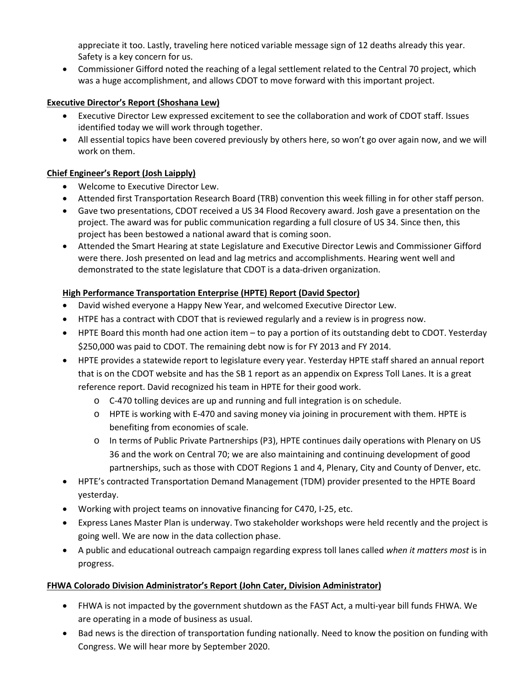appreciate it too. Lastly, traveling here noticed variable message sign of 12 deaths already this year. Safety is a key concern for us.

• Commissioner Gifford noted the reaching of a legal settlement related to the Central 70 project, which was a huge accomplishment, and allows CDOT to move forward with this important project.

# **Executive Director's Report (Shoshana Lew)**

- Executive Director Lew expressed excitement to see the collaboration and work of CDOT staff. Issues identified today we will work through together.
- All essential topics have been covered previously by others here, so won't go over again now, and we will work on them.

# **Chief Engineer's Report (Josh Laipply)**

- Welcome to Executive Director Lew.
- Attended first Transportation Research Board (TRB) convention this week filling in for other staff person.
- Gave two presentations, CDOT received a US 34 Flood Recovery award. Josh gave a presentation on the project. The award was for public communication regarding a full closure of US 34. Since then, this project has been bestowed a national award that is coming soon.
- Attended the Smart Hearing at state Legislature and Executive Director Lewis and Commissioner Gifford were there. Josh presented on lead and lag metrics and accomplishments. Hearing went well and demonstrated to the state legislature that CDOT is a data-driven organization.

# **High Performance Transportation Enterprise (HPTE) Report (David Spector)**

- David wished everyone a Happy New Year, and welcomed Executive Director Lew.
- HTPE has a contract with CDOT that is reviewed regularly and a review is in progress now.
- HPTE Board this month had one action item to pay a portion of its outstanding debt to CDOT. Yesterday \$250,000 was paid to CDOT. The remaining debt now is for FY 2013 and FY 2014.
- HPTE provides a statewide report to legislature every year. Yesterday HPTE staff shared an annual report that is on the CDOT website and has the SB 1 report as an appendix on Express Toll Lanes. It is a great reference report. David recognized his team in HPTE for their good work.
	- o C-470 tolling devices are up and running and full integration is on schedule.
	- o HPTE is working with E-470 and saving money via joining in procurement with them. HPTE is benefiting from economies of scale.
	- o In terms of Public Private Partnerships (P3), HPTE continues daily operations with Plenary on US 36 and the work on Central 70; we are also maintaining and continuing development of good partnerships, such as those with CDOT Regions 1 and 4, Plenary, City and County of Denver, etc.
- HPTE's contracted Transportation Demand Management (TDM) provider presented to the HPTE Board yesterday.
- Working with project teams on innovative financing for C470, I-25, etc.
- Express Lanes Master Plan is underway. Two stakeholder workshops were held recently and the project is going well. We are now in the data collection phase.
- A public and educational outreach campaign regarding express toll lanes called *when it matters most* is in progress.

# **FHWA Colorado Division Administrator's Report (John Cater, Division Administrator)**

- FHWA is not impacted by the government shutdown as the FAST Act, a multi-year bill funds FHWA. We are operating in a mode of business as usual.
- Bad news is the direction of transportation funding nationally. Need to know the position on funding with Congress. We will hear more by September 2020.